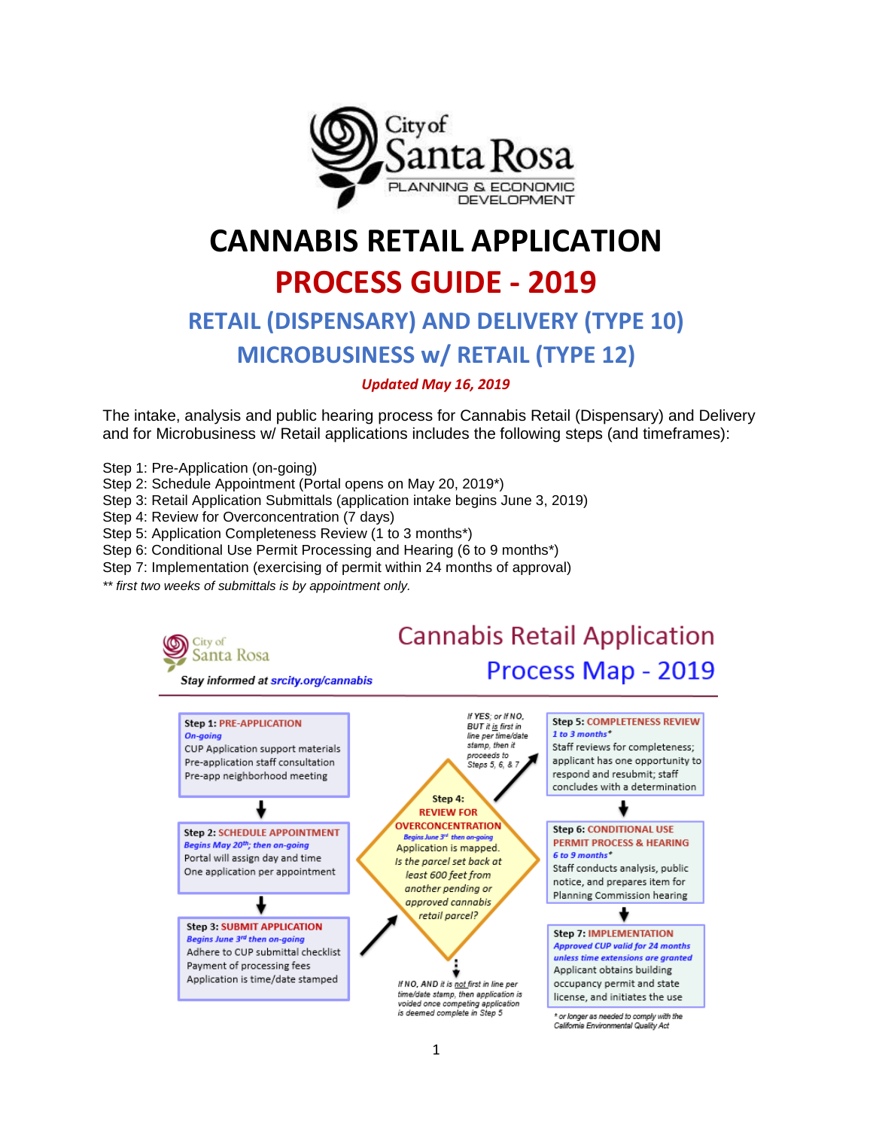

# **CANNABIS RETAIL APPLICATION PROCESS GUIDE - 2019 RETAIL (DISPENSARY) AND DELIVERY (TYPE 10)**

# **MICROBUSINESS w/ RETAIL (TYPE 12)**

# *Updated May 16, 2019*

The intake, analysis and public hearing process for Cannabis Retail (Dispensary) and Delivery and for Microbusiness w/ Retail applications includes the following steps (and timeframes):

Step 1: Pre-Application (on-going)

City of

On-going

- Step 2: Schedule Appointment (Portal opens on May 20, 2019\*)
- Step 3: Retail Application Submittals (application intake begins June 3, 2019)

Step 4: Review for Overconcentration (7 days)

Step 5: Application Completeness Review (1 to 3 months\*)

Step 6: Conditional Use Permit Processing and Hearing (6 to 9 months\*)

Step 7: Implementation (exercising of permit within 24 months of approval)

*\*\* first two weeks of submittals is by appointment only.* 



**REVIEW FOR OVERCONCENTRATION** 

Beains June 3<sup>rd</sup> then on-goine

Application is mapped.

Is the parcel set back at

least 600 feet from

another pending or

approved cannabis retail parcel?

If NO, AND it is not first in line per

time/date stamp, then application is

voided once competing application<br>is deemed complete in Step 5

# **Step 6: CONDITIONAL USE PERMIT PROCESS & HEARING**

6 to 9 months\* Staff conducts analysis, public notice, and prepares item for

Planning Commission hearing



or longer as needed to comply with the California Environmental Quality Act

Stay informed at srcity.org/cannabis

**Step 2: SCHEDULE APPOINTMENT** 

Begins May 20th; then on-going

Portal will assign day and time

**Step 3: SUBMIT APPLICATION** 

Adhere to CUP submittal checklist

Application is time/date stamped

Begins June 3rd then on-going

Payment of processing fees

One application per appointment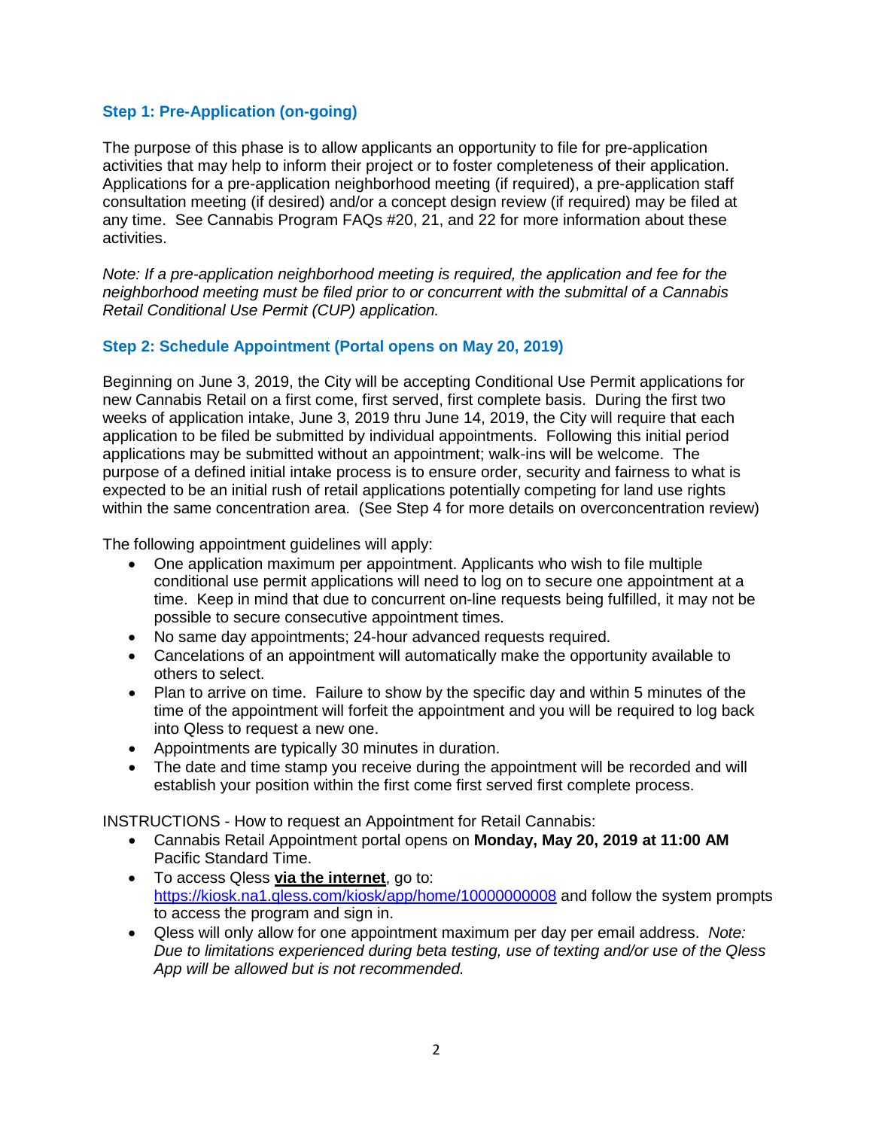# **Step 1: Pre-Application (on-going)**

The purpose of this phase is to allow applicants an opportunity to file for pre-application activities that may help to inform their project or to foster completeness of their application. Applications for a pre-application neighborhood meeting (if required), a pre-application staff consultation meeting (if desired) and/or a concept design review (if required) may be filed at any time. See Cannabis Program FAQs #20, 21, and 22 for more information about these activities.

*Note: If a pre-application neighborhood meeting is required, the application and fee for the neighborhood meeting must be filed prior to or concurrent with the submittal of a Cannabis Retail Conditional Use Permit (CUP) application.* 

# **Step 2: Schedule Appointment (Portal opens on May 20, 2019)**

Beginning on June 3, 2019, the City will be accepting Conditional Use Permit applications for new Cannabis Retail on a first come, first served, first complete basis. During the first two weeks of application intake, June 3, 2019 thru June 14, 2019, the City will require that each application to be filed be submitted by individual appointments. Following this initial period applications may be submitted without an appointment; walk-ins will be welcome. The purpose of a defined initial intake process is to ensure order, security and fairness to what is expected to be an initial rush of retail applications potentially competing for land use rights within the same concentration area. (See Step 4 for more details on overconcentration review)

The following appointment guidelines will apply:

- One application maximum per appointment. Applicants who wish to file multiple conditional use permit applications will need to log on to secure one appointment at a time. Keep in mind that due to concurrent on-line requests being fulfilled, it may not be possible to secure consecutive appointment times.
- No same day appointments; 24-hour advanced requests required.
- Cancelations of an appointment will automatically make the opportunity available to others to select.
- Plan to arrive on time. Failure to show by the specific day and within 5 minutes of the time of the appointment will forfeit the appointment and you will be required to log back into Qless to request a new one.
- Appointments are typically 30 minutes in duration.
- The date and time stamp you receive during the appointment will be recorded and will establish your position within the first come first served first complete process.

INSTRUCTIONS - How to request an Appointment for Retail Cannabis:

- Cannabis Retail Appointment portal opens on **Monday, May 20, 2019 at 11:00 AM** Pacific Standard Time.
- To access Qless **via the internet**, go to: <https://kiosk.na1.qless.com/kiosk/app/home/10000000008> and follow the system prompts to access the program and sign in.
- Qless will only allow for one appointment maximum per day per email address. *Note: Due to limitations experienced during beta testing, use of texting and/or use of the Qless App will be allowed but is not recommended.*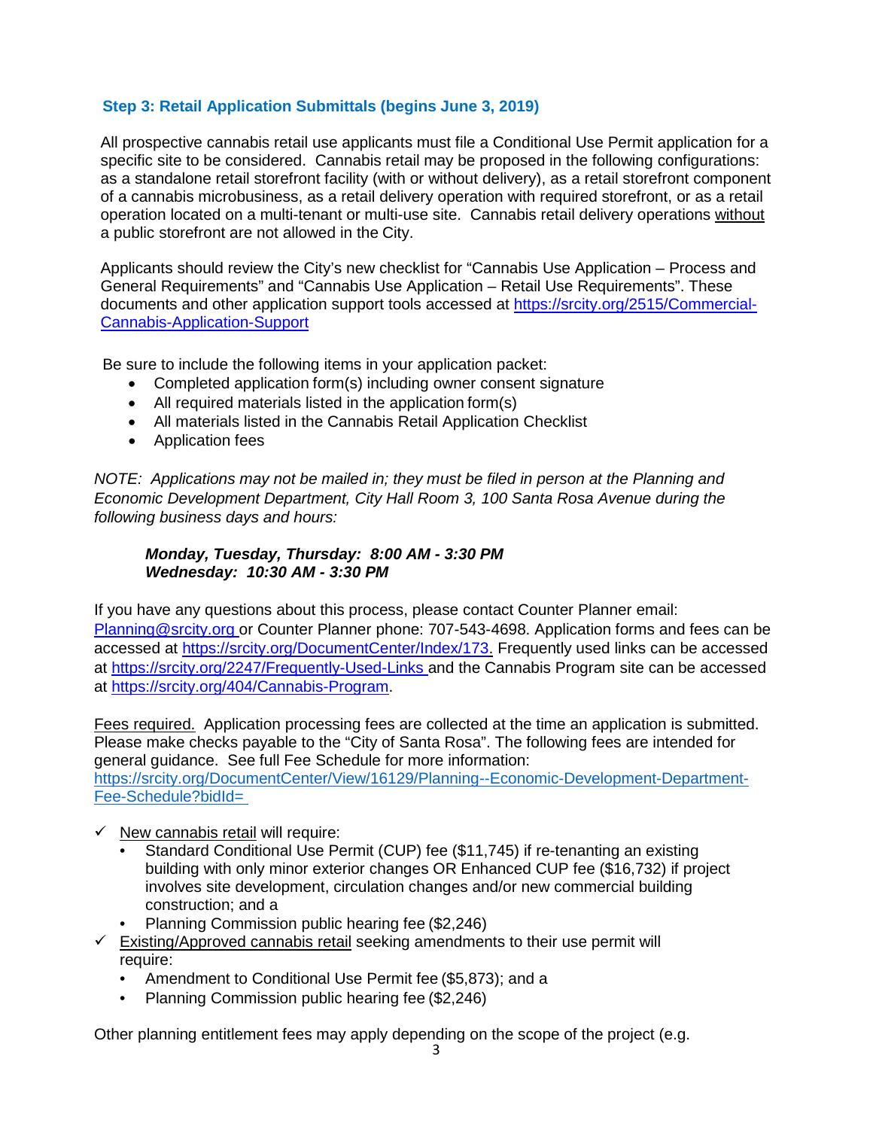# **Step 3: Retail Application Submittals (begins June 3, 2019)**

All prospective cannabis retail use applicants must file a Conditional Use Permit application for a specific site to be considered. Cannabis retail may be proposed in the following configurations: as a standalone retail storefront facility (with or without delivery), as a retail storefront component of a cannabis microbusiness, as a retail delivery operation with required storefront, or as a retail operation located on a multi-tenant or multi-use site. Cannabis retail delivery operations without a public storefront are not allowed in the City.

Applicants should review the City's new checklist for "Cannabis Use Application – Process and General Requirements" and "Cannabis Use Application – Retail Use Requirements". These documents and other application support tools accessed at [https://srcity.org/2515/Commercial-](https://srcity.org/2515/Commercial-Cannabis-Application-Support)[Cannabis-Application-Support](https://srcity.org/2515/Commercial-Cannabis-Application-Support)

Be sure to include the following items in your application packet:

- Completed application form(s) including owner consent signature
- All required materials listed in the application form(s)
- All materials listed in the Cannabis Retail Application Checklist
- Application fees

*NOTE: Applications may not be mailed in; they must be filed in person at the Planning and Economic Development Department, City Hall Room 3, 100 Santa Rosa Avenue during the following business days and hours:*

#### *Monday, Tuesday, Thursday: 8:00 AM - 3:30 PM Wednesday: 10:30 AM - 3:30 PM*

If you have any questions about this process, please contact Counter Planner email: [Planning@srcity.org o](mailto:planning@srcity.org)r Counter Planner phone: 707-543-4698. Application forms and fees can be accessed at [https://srcity.org/DocumentCenter/Index/173.](https://srcity.org/DocumentCenter/Index/173) Frequently used links can be accessed at [https://srcity.org/2247/Frequently-Used-Links a](https://srcity.org/2247/Frequently-Used-Links)nd the Cannabis Program site can be accessed at [https://srcity.org/404/Cannabis-Program.](https://srcity.org/404/Cannabis-Program)

Fees required. Application processing fees are collected at the time an application is submitted. Please make checks payable to the "City of Santa Rosa". The following fees are intended for general guidance. See full Fee Schedule for more information: https://srcity.org/DocumentCenter/View/16129/Planning--Economic-Development-Department-Fee-Schedule?bidId=

- $\checkmark$  New cannabis retail will require:
	- Standard Conditional Use Permit (CUP) fee (\$11,745) if re-tenanting an existing building with only minor exterior changes OR Enhanced CUP fee (\$16,732) if project involves site development, circulation changes and/or new commercial building construction; and a
	- Planning Commission public hearing fee (\$2,246)
- $\checkmark$  Existing/Approved cannabis retail seeking amendments to their use permit will require:
	- Amendment to Conditional Use Permit fee (\$5,873); and a
	- Planning Commission public hearing fee (\$2,246)

Other planning entitlement fees may apply depending on the scope of the project (e.g.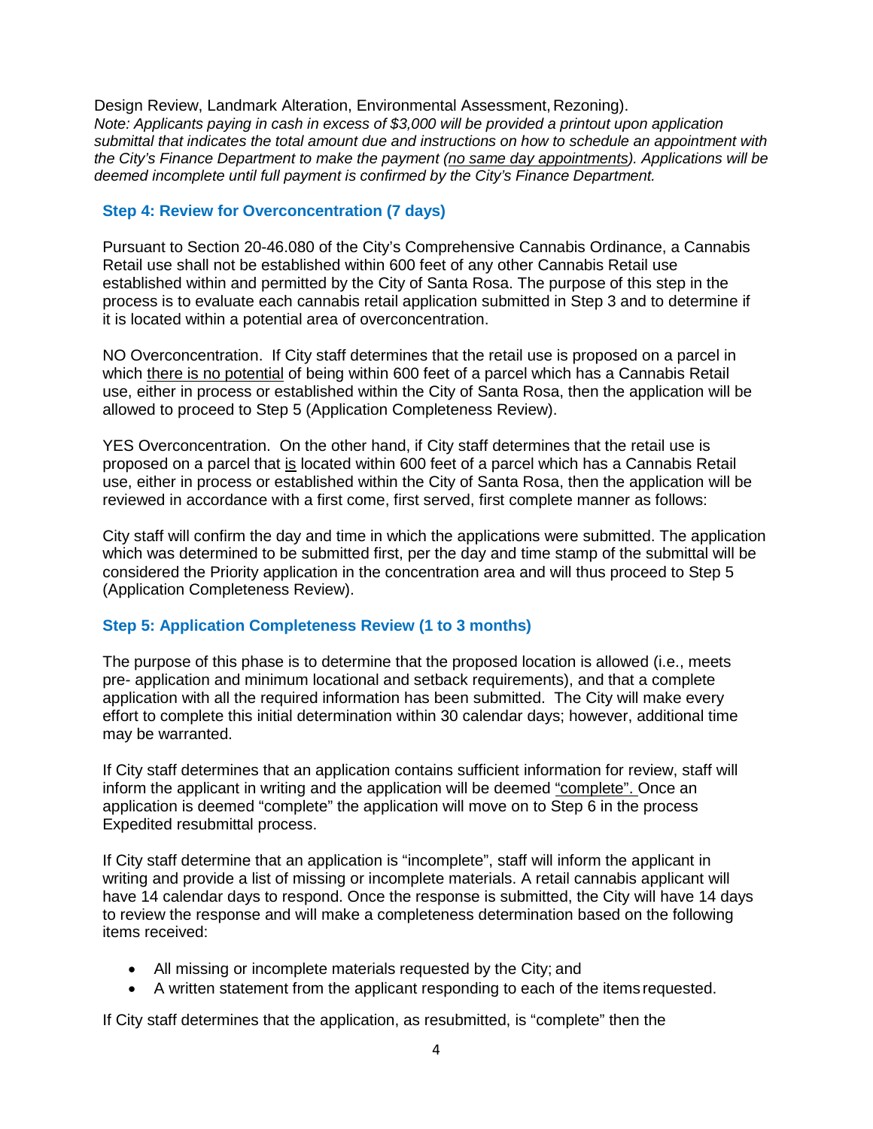Design Review, Landmark Alteration, Environmental Assessment, Rezoning). *Note: Applicants paying in cash in excess of \$3,000 will be provided a printout upon application submittal that indicates the total amount due and instructions on how to schedule an appointment with the City's Finance Department to make the payment (no same day appointments). Applications will be deemed incomplete until full payment is confirmed by the City's Finance Department.*

# **Step 4: Review for Overconcentration (7 days)**

Pursuant to Section 20-46.080 of the City's Comprehensive Cannabis Ordinance, a Cannabis Retail use shall not be established within 600 feet of any other Cannabis Retail use established within and permitted by the City of Santa Rosa. The purpose of this step in the process is to evaluate each cannabis retail application submitted in Step 3 and to determine if it is located within a potential area of overconcentration.

NO Overconcentration. If City staff determines that the retail use is proposed on a parcel in which there is no potential of being within 600 feet of a parcel which has a Cannabis Retail use, either in process or established within the City of Santa Rosa, then the application will be allowed to proceed to Step 5 (Application Completeness Review).

YES Overconcentration. On the other hand, if City staff determines that the retail use is proposed on a parcel that is located within 600 feet of a parcel which has a Cannabis Retail use, either in process or established within the City of Santa Rosa, then the application will be reviewed in accordance with a first come, first served, first complete manner as follows:

City staff will confirm the day and time in which the applications were submitted. The application which was determined to be submitted first, per the day and time stamp of the submittal will be considered the Priority application in the concentration area and will thus proceed to Step 5 (Application Completeness Review).

# **Step 5: Application Completeness Review (1 to 3 months)**

The purpose of this phase is to determine that the proposed location is allowed (i.e., meets pre- application and minimum locational and setback requirements), and that a complete application with all the required information has been submitted. The City will make every effort to complete this initial determination within 30 calendar days; however, additional time may be warranted.

If City staff determines that an application contains sufficient information for review, staff will inform the applicant in writing and the application will be deemed "complete". Once an application is deemed "complete" the application will move on to Step 6 in the process Expedited resubmittal process.

If City staff determine that an application is "incomplete", staff will inform the applicant in writing and provide a list of missing or incomplete materials. A retail cannabis applicant will have 14 calendar days to respond. Once the response is submitted, the City will have 14 days to review the response and will make a completeness determination based on the following items received:

- All missing or incomplete materials requested by the City; and
- A written statement from the applicant responding to each of the items requested.

If City staff determines that the application, as resubmitted, is "complete" then the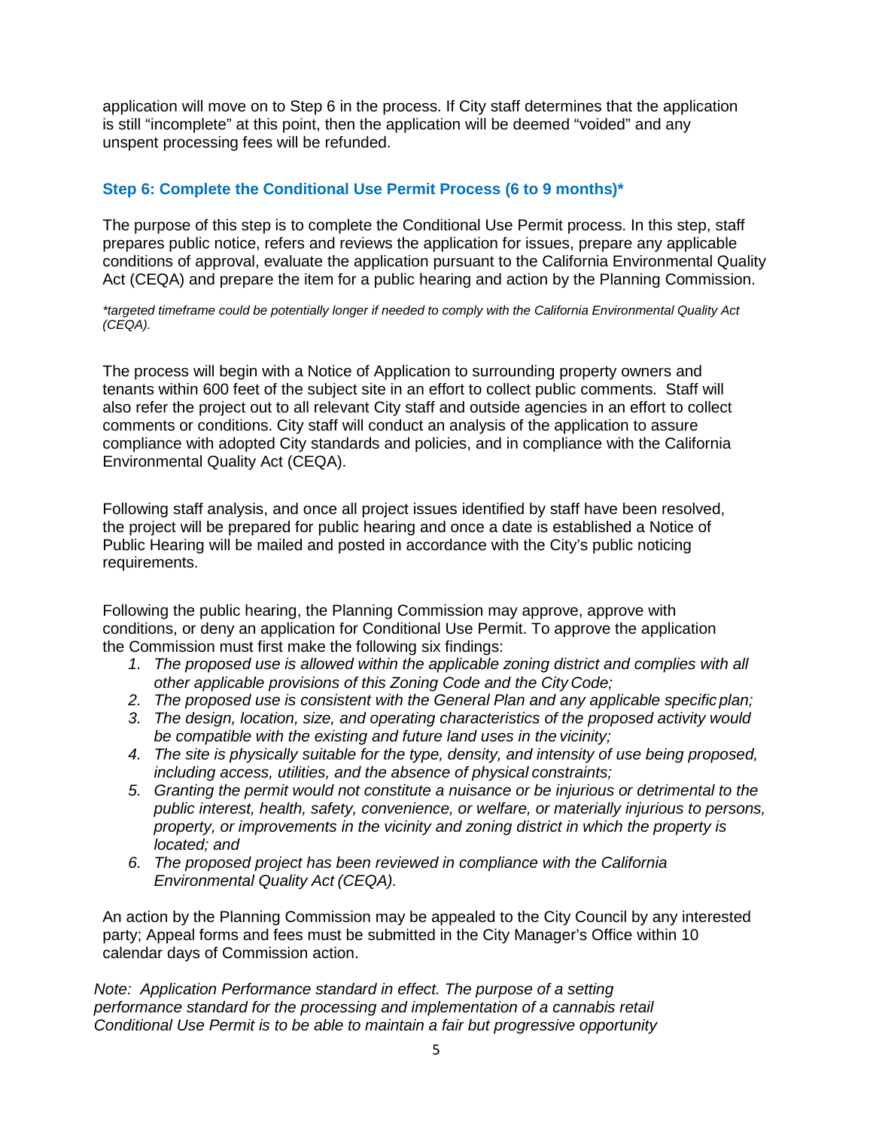application will move on to Step 6 in the process. If City staff determines that the application is still "incomplete" at this point, then the application will be deemed "voided" and any unspent processing fees will be refunded.

# **Step 6: Complete the Conditional Use Permit Process (6 to 9 months)\***

The purpose of this step is to complete the Conditional Use Permit process. In this step, staff prepares public notice, refers and reviews the application for issues, prepare any applicable conditions of approval, evaluate the application pursuant to the California Environmental Quality Act (CEQA) and prepare the item for a public hearing and action by the Planning Commission.

*\*targeted timeframe could be potentially longer if needed to comply with the California Environmental Quality Act (CEQA).*

The process will begin with a Notice of Application to surrounding property owners and tenants within 600 feet of the subject site in an effort to collect public comments. Staff will also refer the project out to all relevant City staff and outside agencies in an effort to collect comments or conditions. City staff will conduct an analysis of the application to assure compliance with adopted City standards and policies, and in compliance with the California Environmental Quality Act (CEQA).

Following staff analysis, and once all project issues identified by staff have been resolved, the project will be prepared for public hearing and once a date is established a Notice of Public Hearing will be mailed and posted in accordance with the City's public noticing requirements.

Following the public hearing, the Planning Commission may approve, approve with conditions, or deny an application for Conditional Use Permit. To approve the application the Commission must first make the following six findings:

- 1. The proposed use is allowed within the applicable zoning district and complies with all *other applicable provisions of this Zoning Code and the City Code;*
- *2. The proposed use is consistent with the General Plan and any applicable specific plan;*
- *3. The design, location, size, and operating characteristics of the proposed activity would be compatible with the existing and future land uses in the vicinity;*
- *4. The site is physically suitable for the type, density, and intensity of use being proposed, including access, utilities, and the absence of physical constraints;*
- *5. Granting the permit would not constitute a nuisance or be injurious or detrimental to the public interest, health, safety, convenience, or welfare, or materially injurious to persons, property, or improvements in the vicinity and zoning district in which the property is located; and*
- *6. The proposed project has been reviewed in compliance with the California Environmental Quality Act (CEQA).*

An action by the Planning Commission may be appealed to the City Council by any interested party; Appeal forms and fees must be submitted in the City Manager's Office within 10 calendar days of Commission action.

*Note: Application Performance standard in effect. The purpose of a setting performance standard for the processing and implementation of a cannabis retail Conditional Use Permit is to be able to maintain a fair but progressive opportunity*